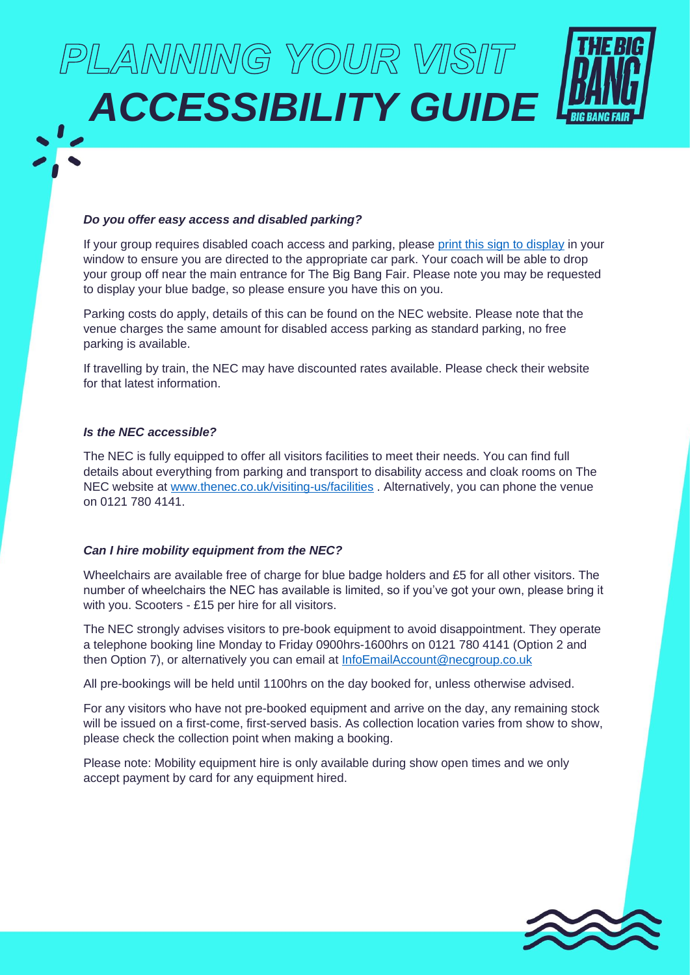# PLANNING YOUR VISIT *ACCESSIBILITY GUIDE*

# *Do you offer easy access and disabled parking?*

If your group requires disabled coach access and parking, please [print this sign to display](https://www.thebigbang.org.uk/media/2hle1ore/tbbf-2022-bus-sign-for-schools.pdf) in your window to ensure you are directed to the appropriate car park. Your coach will be able to drop your group off near the main entrance for The Big Bang Fair. Please note you may be requested to display your blue badge, so please ensure you have this on you.

Parking costs do apply, details of this can be found on the NEC website. Please note that the venue charges the same amount for disabled access parking as standard parking, no free parking is available.

If travelling by train, the NEC may have discounted rates available. Please check their website for that latest information.

## *Is the NEC accessible?*

The NEC is fully equipped to offer all visitors facilities to meet their needs. You can find full details about everything from parking and transport to disability access and cloak rooms on The NEC website at [www.thenec.co.uk/visiting-us/facilities](http://www.thenec.co.uk/visiting-us/facilities) . Alternatively, you can phone the venue on 0121 780 4141.

# *Can I hire mobility equipment from the NEC?*

Wheelchairs are available free of charge for blue badge holders and £5 for all other visitors. The number of wheelchairs the NEC has available is limited, so if you've got your own, please bring it with you. Scooters - £15 per hire for all visitors.

The NEC strongly advises visitors to pre-book equipment to avoid disappointment. They operate a telephone booking line Monday to Friday 0900hrs-1600hrs on 0121 780 4141 (Option 2 and then Option 7), or alternatively you can email at **InfoEmailAccount@necgroup.co.uk** 

All pre-bookings will be held until 1100hrs on the day booked for, unless otherwise advised.

For any visitors who have not pre-booked equipment and arrive on the day, any remaining stock will be issued on a first-come, first-served basis. As collection location varies from show to show, please check the collection point when making a booking.

Please note: Mobility equipment hire is only available during show open times and we only accept payment by card for any equipment hired.

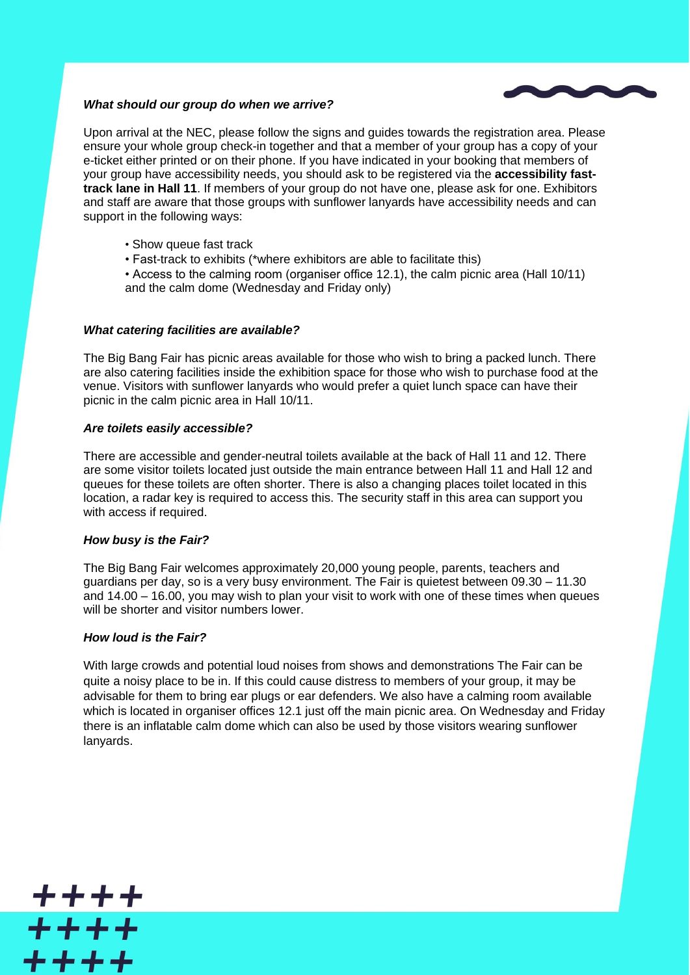

## *What should our group do when we arrive?*

Upon arrival at the NEC, please follow the signs and guides towards the registration area. Please ensure your whole group check-in together and that a member of your group has a copy of your e-ticket either printed or on their phone. If you have indicated in your booking that members of your group have accessibility needs, you should ask to be registered via the **accessibility fasttrack lane in Hall 11**. If members of your group do not have one, please ask for one. Exhibitors and staff are aware that those groups with sunflower lanyards have accessibility needs and can support in the following ways:

- Show queue fast track
- Fast-track to exhibits (\*where exhibitors are able to facilitate this)
- Access to the calming room (organiser office 12.1), the calm picnic area (Hall 10/11) and the calm dome (Wednesday and Friday only)

## *What catering facilities are available?*

The Big Bang Fair has picnic areas available for those who wish to bring a packed lunch. There are also catering facilities inside the exhibition space for those who wish to purchase food at the venue. Visitors with sunflower lanyards who would prefer a quiet lunch space can have their picnic in the calm picnic area in Hall 10/11.

## *Are toilets easily accessible?*

There are accessible and gender-neutral toilets available at the back of Hall 11 and 12. There are some visitor toilets located just outside the main entrance between Hall 11 and Hall 12 and queues for these toilets are often shorter. There is also a changing places toilet located in this location, a radar key is required to access this. The security staff in this area can support you with access if required.

## *How busy is the Fair?*

The Big Bang Fair welcomes approximately 20,000 young people, parents, teachers and guardians per day, so is a very busy environment. The Fair is quietest between 09.30 – 11.30 and 14.00 – 16.00, you may wish to plan your visit to work with one of these times when queues will be shorter and visitor numbers lower.

## *How loud is the Fair?*

<u> + + + +</u>

 $+ + + +$ 

 $+++++$ 

With large crowds and potential loud noises from shows and demonstrations The Fair can be quite a noisy place to be in. If this could cause distress to members of your group, it may be advisable for them to bring ear plugs or ear defenders. We also have a calming room available which is located in organiser offices 12.1 just off the main picnic area. On Wednesday and Friday there is an inflatable calm dome which can also be used by those visitors wearing sunflower lanyards.